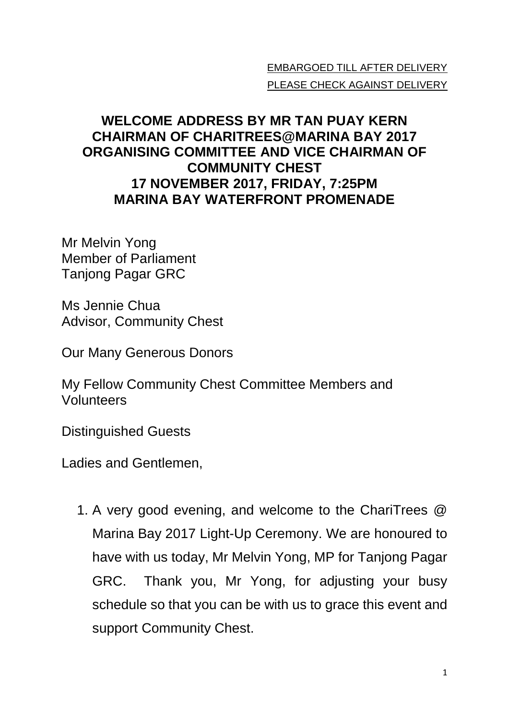## EMBARGOED TILL AFTER DELIVERY PLEASE CHECK AGAINST DELIVERY

## **WELCOME ADDRESS BY MR TAN PUAY KERN CHAIRMAN OF CHARITREES@MARINA BAY 2017 ORGANISING COMMITTEE AND VICE CHAIRMAN OF COMMUNITY CHEST 17 NOVEMBER 2017, FRIDAY, 7:25PM MARINA BAY WATERFRONT PROMENADE**

Mr Melvin Yong Member of Parliament Tanjong Pagar GRC

Ms Jennie Chua Advisor, Community Chest

Our Many Generous Donors

My Fellow Community Chest Committee Members and Volunteers

Distinguished Guests

Ladies and Gentlemen,

1. A very good evening, and welcome to the ChariTrees @ Marina Bay 2017 Light-Up Ceremony. We are honoured to have with us today, Mr Melvin Yong, MP for Tanjong Pagar GRC. Thank you, Mr Yong, for adjusting your busy schedule so that you can be with us to grace this event and support Community Chest.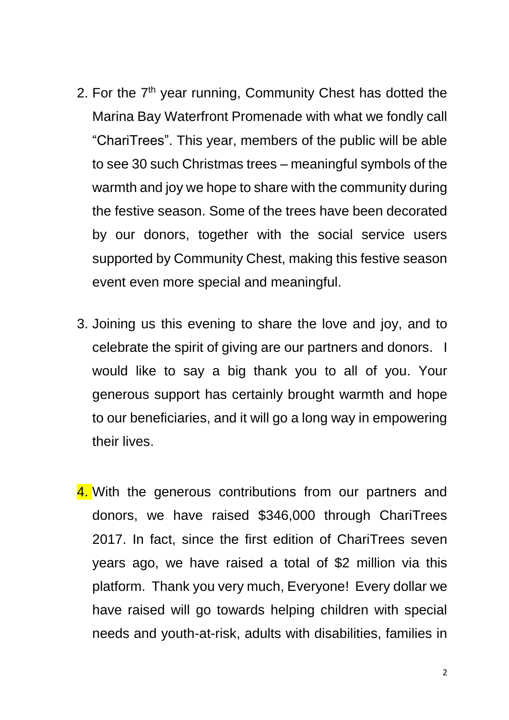- 2. For the 7<sup>th</sup> year running, Community Chest has dotted the Marina Bay Waterfront Promenade with what we fondly call "ChariTrees". This year, members of the public will be able to see 30 such Christmas trees – meaningful symbols of the warmth and joy we hope to share with the community during the festive season. Some of the trees have been decorated by our donors, together with the social service users supported by Community Chest, making this festive season event even more special and meaningful.
- 3. Joining us this evening to share the love and joy, and to celebrate the spirit of giving are our partners and donors. I would like to say a big thank you to all of you. Your generous support has certainly brought warmth and hope to our beneficiaries, and it will go a long way in empowering their lives.
- 4. With the generous contributions from our partners and donors, we have raised \$346,000 through ChariTrees 2017. In fact, since the first edition of ChariTrees seven years ago, we have raised a total of \$2 million via this platform. Thank you very much, Everyone! Every dollar we have raised will go towards helping children with special needs and youth-at-risk, adults with disabilities, families in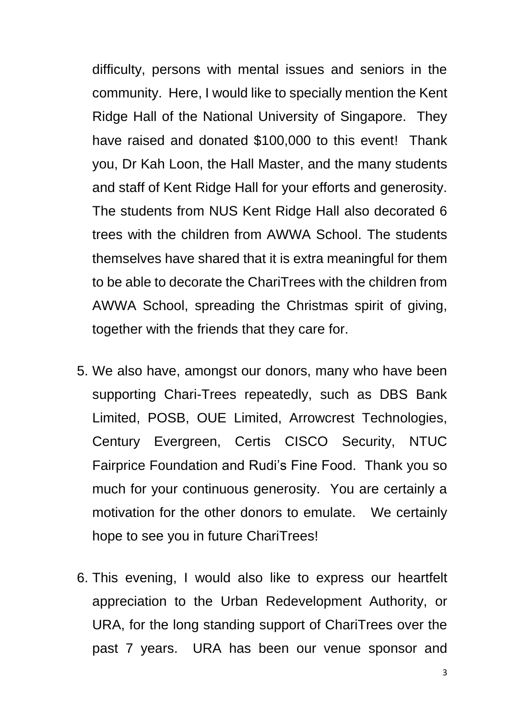difficulty, persons with mental issues and seniors in the community. Here, I would like to specially mention the Kent Ridge Hall of the National University of Singapore. They have raised and donated \$100,000 to this event! Thank you, Dr Kah Loon, the Hall Master, and the many students and staff of Kent Ridge Hall for your efforts and generosity. The students from NUS Kent Ridge Hall also decorated 6 trees with the children from AWWA School. The students themselves have shared that it is extra meaningful for them to be able to decorate the ChariTrees with the children from AWWA School, spreading the Christmas spirit of giving, together with the friends that they care for.

- 5. We also have, amongst our donors, many who have been supporting Chari-Trees repeatedly, such as DBS Bank Limited, POSB, OUE Limited, Arrowcrest Technologies, Century Evergreen, Certis CISCO Security, NTUC Fairprice Foundation and Rudi's Fine Food. Thank you so much for your continuous generosity. You are certainly a motivation for the other donors to emulate. We certainly hope to see you in future ChariTrees!
- 6. This evening, I would also like to express our heartfelt appreciation to the Urban Redevelopment Authority, or URA, for the long standing support of ChariTrees over the past 7 years. URA has been our venue sponsor and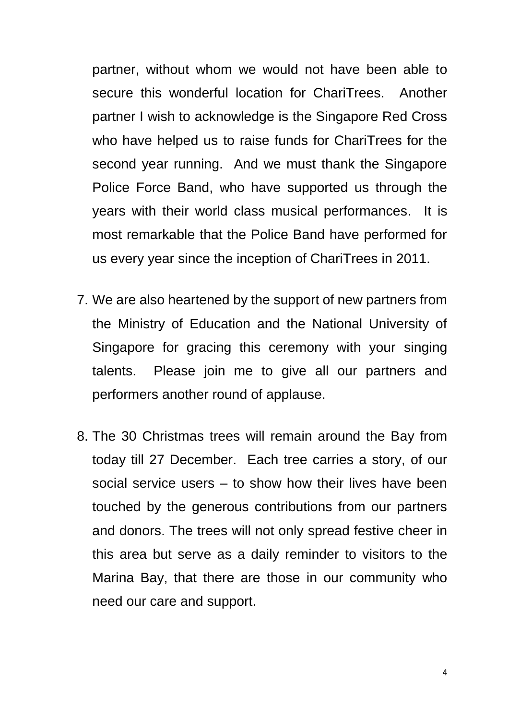partner, without whom we would not have been able to secure this wonderful location for ChariTrees. Another partner I wish to acknowledge is the Singapore Red Cross who have helped us to raise funds for ChariTrees for the second year running. And we must thank the Singapore Police Force Band, who have supported us through the years with their world class musical performances. It is most remarkable that the Police Band have performed for us every year since the inception of ChariTrees in 2011.

- 7. We are also heartened by the support of new partners from the Ministry of Education and the National University of Singapore for gracing this ceremony with your singing talents. Please join me to give all our partners and performers another round of applause.
- 8. The 30 Christmas trees will remain around the Bay from today till 27 December. Each tree carries a story, of our social service users – to show how their lives have been touched by the generous contributions from our partners and donors. The trees will not only spread festive cheer in this area but serve as a daily reminder to visitors to the Marina Bay, that there are those in our community who need our care and support.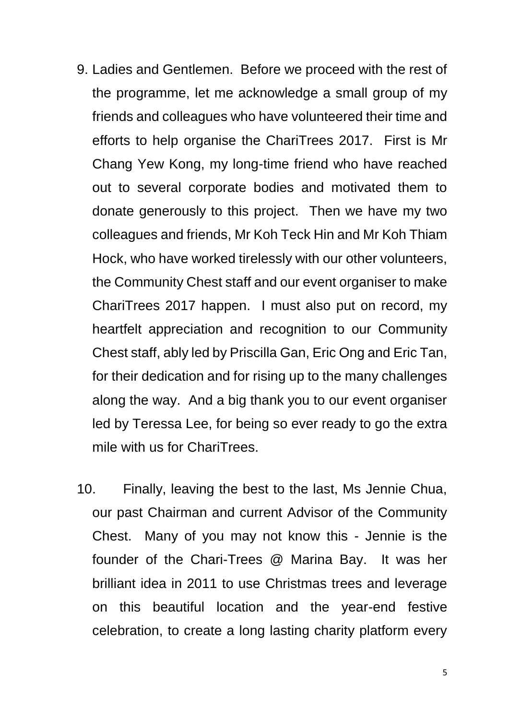- 9. Ladies and Gentlemen. Before we proceed with the rest of the programme, let me acknowledge a small group of my friends and colleagues who have volunteered their time and efforts to help organise the ChariTrees 2017. First is Mr Chang Yew Kong, my long-time friend who have reached out to several corporate bodies and motivated them to donate generously to this project. Then we have my two colleagues and friends, Mr Koh Teck Hin and Mr Koh Thiam Hock, who have worked tirelessly with our other volunteers, the Community Chest staff and our event organiser to make ChariTrees 2017 happen. I must also put on record, my heartfelt appreciation and recognition to our Community Chest staff, ably led by Priscilla Gan, Eric Ong and Eric Tan, for their dedication and for rising up to the many challenges along the way. And a big thank you to our event organiser led by Teressa Lee, for being so ever ready to go the extra mile with us for ChariTrees.
- 10. Finally, leaving the best to the last, Ms Jennie Chua, our past Chairman and current Advisor of the Community Chest. Many of you may not know this - Jennie is the founder of the Chari-Trees @ Marina Bay. It was her brilliant idea in 2011 to use Christmas trees and leverage on this beautiful location and the year-end festive celebration, to create a long lasting charity platform every